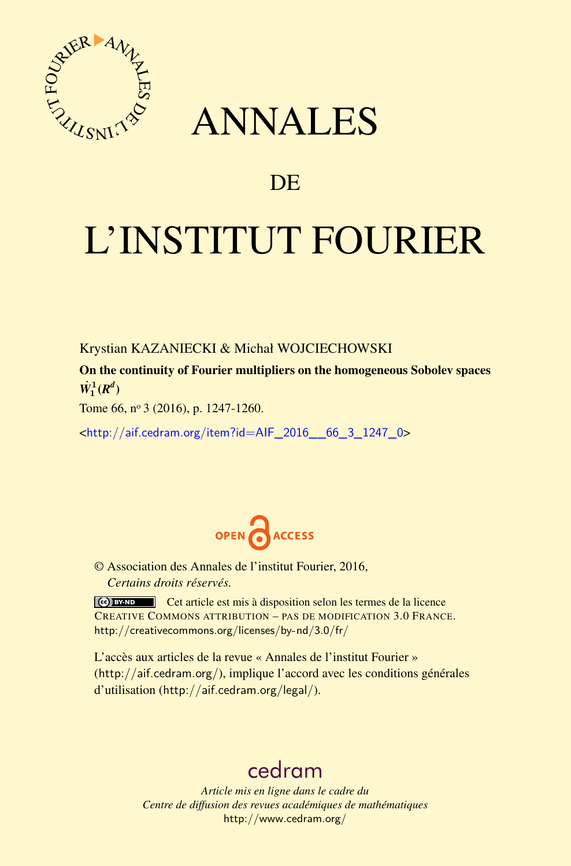

## ANNALES

## **DE**

# L'INSTITUT FOURIER

Krystian KAZANIECKI & Michał WOJCIECHOWSKI

On the continuity of Fourier multipliers on the homogeneous Sobolev spaces  $\dot{W}_1^1(R^d)$ 

Tome 66, nº 3 (2016), p. 1247-1260.

<[http://aif.cedram.org/item?id=AIF\\_2016\\_\\_66\\_3\\_1247\\_0](http://aif.cedram.org/item?id=AIF_2016__66_3_1247_0)>



© Association des Annales de l'institut Fourier, 2016, *Certains droits réservés.*

Cet article est mis à disposition selon les termes de la licence CREATIVE COMMONS ATTRIBUTION – PAS DE MODIFICATION 3.0 FRANCE. <http://creativecommons.org/licenses/by-nd/3.0/fr/>

L'accès aux articles de la revue « Annales de l'institut Fourier » (<http://aif.cedram.org/>), implique l'accord avec les conditions générales d'utilisation (<http://aif.cedram.org/legal/>).

## [cedram](http://www.cedram.org/)

*Article mis en ligne dans le cadre du Centre de diffusion des revues académiques de mathématiques* <http://www.cedram.org/>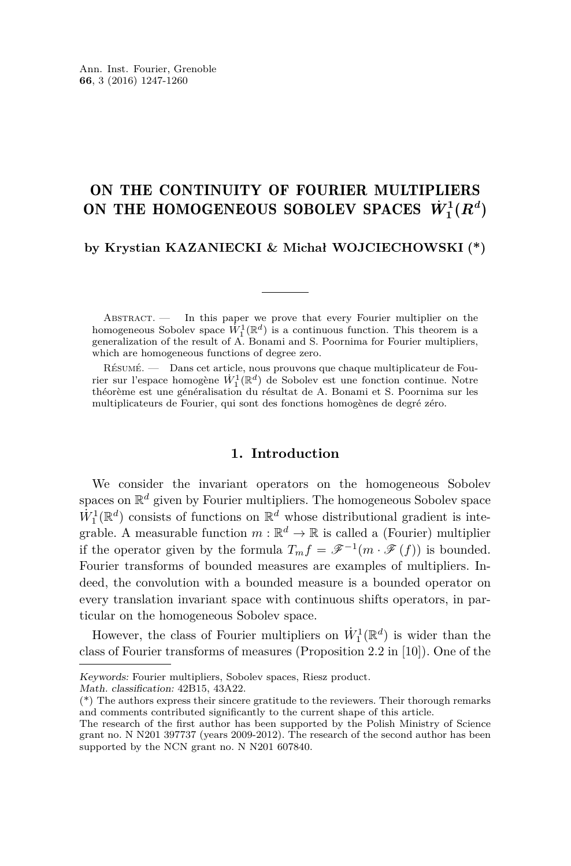### ON THE CONTINUITY OF FOURIER MULTIPLIERS ON THE HOMOGENEOUS SOBOLEV SPACES  $\dot{W}_1^1(R^d)$

**by Krystian KAZANIECKI & Michał WOJCIECHOWSKI (\*)**

ABSTRACT. - In this paper we prove that every Fourier multiplier on the homogeneous Sobolev space  $W_1^1(\mathbb{R}^d)$  is a continuous function. This theorem is a generalization of the result of A. Bonami and S. Poornima for Fourier multipliers, which are homogeneous functions of degree zero.

Résumé. — Dans cet article, nous prouvons que chaque multiplicateur de Fourier sur l'espace homogène  $\dot{W}_1^1(\mathbb{R}^d)$  de Sobolev est une fonction continue. Notre théorème est une généralisation du résultat de A. Bonami et S. Poornima sur les multiplicateurs de Fourier, qui sont des fonctions homogènes de degré zéro.

#### **1. Introduction**

We consider the invariant operators on the homogeneous Sobolev spaces on  $\mathbb{R}^d$  given by Fourier multipliers. The homogeneous Sobolev space  $\dot{W}_1^1(\mathbb{R}^d)$  consists of functions on  $\mathbb{R}^d$  whose distributional gradient is integrable. A measurable function  $m : \mathbb{R}^d \to \mathbb{R}$  is called a (Fourier) multiplier if the operator given by the formula  $T_m f = \mathscr{F}^{-1}(m \cdot \mathscr{F}(f))$  is bounded. Fourier transforms of bounded measures are examples of multipliers. Indeed, the convolution with a bounded measure is a bounded operator on every translation invariant space with continuous shifts operators, in particular on the homogeneous Sobolev space.

However, the class of Fourier multipliers on  $\dot{W}_1^1(\mathbb{R}^d)$  is wider than the class of Fourier transforms of measures (Proposition 2.2 in [\[10\]](#page-14-0)). One of the

Math. classification: 42B15, 43A22.

Keywords: Fourier multipliers, Sobolev spaces, Riesz product.

<sup>(\*)</sup> The authors express their sincere gratitude to the reviewers. Their thorough remarks and comments contributed significantly to the current shape of this article.

The research of the first author has been supported by the Polish Ministry of Science grant no. N N201 397737 (years 2009-2012). The research of the second author has been supported by the NCN grant no. N N201 607840.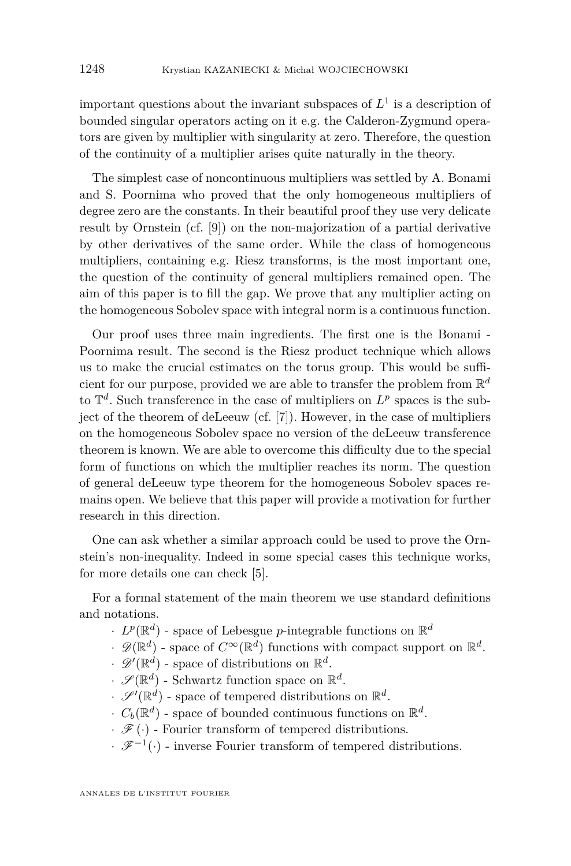important questions about the invariant subspaces of  $L^1$  is a description of bounded singular operators acting on it e.g. the Calderon-Zygmund operators are given by multiplier with singularity at zero. Therefore, the question of the continuity of a multiplier arises quite naturally in the theory.

The simplest case of noncontinuous multipliers was settled by A. Bonami and S. Poornima who proved that the only homogeneous multipliers of degree zero are the constants. In their beautiful proof they use very delicate result by Ornstein (cf. [\[9\]](#page-14-1)) on the non-majorization of a partial derivative by other derivatives of the same order. While the class of homogeneous multipliers, containing e.g. Riesz transforms, is the most important one, the question of the continuity of general multipliers remained open. The aim of this paper is to fill the gap. We prove that any multiplier acting on the homogeneous Sobolev space with integral norm is a continuous function.

Our proof uses three main ingredients. The first one is the Bonami - Poornima result. The second is the Riesz product technique which allows us to make the crucial estimates on the torus group. This would be sufficient for our purpose, provided we are able to transfer the problem from  $\mathbb{R}^d$ to  $\mathbb{T}^d$ . Such transference in the case of multipliers on  $L^p$  spaces is the subject of the theorem of deLeeuw (cf. [\[7\]](#page-14-2)). However, in the case of multipliers on the homogeneous Sobolev space no version of the deLeeuw transference theorem is known. We are able to overcome this difficulty due to the special form of functions on which the multiplier reaches its norm. The question of general deLeeuw type theorem for the homogeneous Sobolev spaces remains open. We believe that this paper will provide a motivation for further research in this direction.

One can ask whether a similar approach could be used to prove the Ornstein's non-inequality. Indeed in some special cases this technique works, for more details one can check [\[5\]](#page-13-0).

For a formal statement of the main theorem we use standard definitions and notations.

- $\cdot$  *L*<sup>*p*</sup>( $\mathbb{R}^d$ ) space of Lebesgue *p*-integrable functions on  $\mathbb{R}^d$
- $\mathscr{D}(\mathbb{R}^d)$  space of  $C^{\infty}(\mathbb{R}^d)$  functions with compact support on  $\mathbb{R}^d$ .
- $\mathscr{D}'(\mathbb{R}^d)$  space of distributions on  $\mathbb{R}^d$ .
- $\cdot$   $\mathscr{S}(\mathbb{R}^d)$  Schwartz function space on  $\mathbb{R}^d$ .
- $\mathscr{S}'(\mathbb{R}^d)$  space of tempered distributions on  $\mathbb{R}^d$ .
- $\cdot$   $C_b(\mathbb{R}^d)$  space of bounded continuous functions on  $\mathbb{R}^d$ .
- $\cdot$   $\mathscr{F}(\cdot)$  Fourier transform of tempered distributions.
- $\cdot$   $\mathscr{F}^{-1}(\cdot)$  inverse Fourier transform of tempered distributions.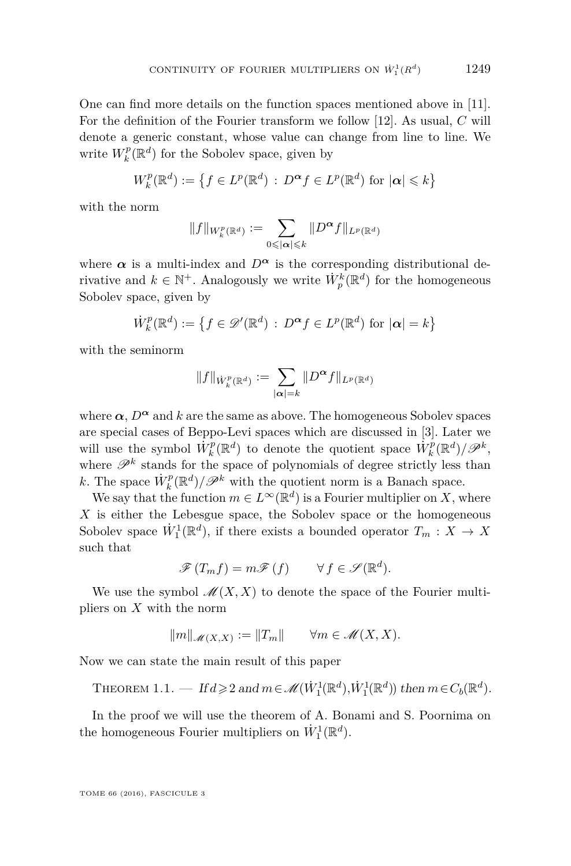One can find more details on the function spaces mentioned above in [\[11\]](#page-14-3). For the definition of the Fourier transform we follow [\[12\]](#page-14-4). As usual, *C* will denote a generic constant, whose value can change from line to line. We write  $W_k^p(\mathbb{R}^d)$  for the Sobolev space, given by

$$
W_k^p(\mathbb{R}^d) := \left\{ f \in L^p(\mathbb{R}^d) \, : \, D^{\alpha} f \in L^p(\mathbb{R}^d) \text{ for } |\alpha| \leq k \right\}
$$

with the norm

$$
||f||_{W_k^p(\mathbb{R}^d)} := \sum_{0 \leqslant |\alpha| \leqslant k} ||D^{\boldsymbol{\alpha}}f||_{L^p(\mathbb{R}^d)}
$$

where  $\alpha$  is a multi-index and  $D^{\alpha}$  is the corresponding distributional derivative and  $k \in \mathbb{N}^+$ . Analogously we write  $\dot{W}_p^k(\mathbb{R}^d)$  for the homogeneous Sobolev space, given by

$$
\dot{W}_k^p(\mathbb{R}^d) := \left\{ f \in \mathscr{D}'(\mathbb{R}^d) \, : \, D^{\alpha} f \in L^p(\mathbb{R}^d) \text{ for } |\alpha| = k \right\}
$$

with the seminorm

$$
||f||_{\dot{W}_k^p(\mathbb{R}^d)} := \sum_{|\boldsymbol{\alpha}|=k} ||D^{\boldsymbol{\alpha}}f||_{L^p(\mathbb{R}^d)}
$$

where  $\alpha$ ,  $D^{\alpha}$  and k are the same as above. The homogeneous Sobolev spaces are special cases of Beppo-Levi spaces which are discussed in [\[3\]](#page-13-1). Later we will use the symbol  $\dot{W}_k^p(\mathbb{R}^d)$  to denote the quotient space  $\dot{W}_k^p(\mathbb{R}^d)/\mathscr{P}^k$ , where  $\mathscr{P}^k$  stands for the space of polynomials of degree strictly less than *k*. The space  $\dot{W}_k^p(\mathbb{R}^d)/\mathscr{P}^k$  with the quotient norm is a Banach space.

We say that the function  $m \in L^{\infty}(\mathbb{R}^d)$  is a Fourier multiplier on *X*, where *X* is either the Lebesgue space, the Sobolev space or the homogeneous Sobolev space  $\dot{W}_1^1(\mathbb{R}^d)$ , if there exists a bounded operator  $T_m: X \to X$ such that

$$
\mathscr{F}(T_m f) = m\mathscr{F}(f) \qquad \forall f \in \mathscr{S}(\mathbb{R}^d).
$$

We use the symbol  $\mathcal{M}(X, X)$  to denote the space of the Fourier multipliers on *X* with the norm

$$
||m||_{\mathcal{M}(X,X)} := ||T_m|| \qquad \forall m \in \mathcal{M}(X,X).
$$

Now we can state the main result of this paper

<span id="page-3-0"></span>THEOREM 1.1. — If  $d \geqslant 2$  and  $m \in \mathcal{M}(\dot{W}_1^1(\mathbb{R}^d), \dot{W}_1^1(\mathbb{R}^d))$  then  $m \in C_b(\mathbb{R}^d)$ .

In the proof we will use the theorem of A. Bonami and S. Poornima on the homogeneous Fourier multipliers on  $\dot{W}_1^1(\mathbb{R}^d)$ .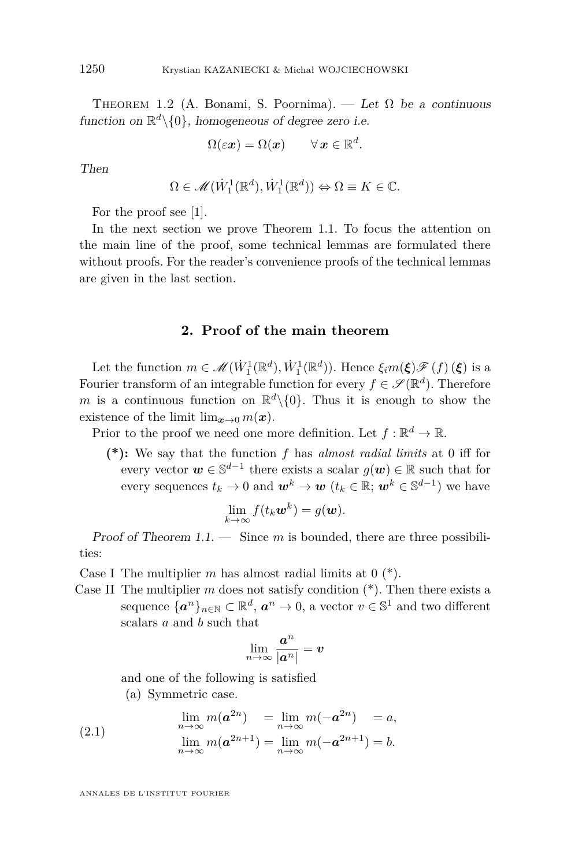<span id="page-4-0"></span>THEOREM 1.2 (A. Bonami, S. Poornima). — Let  $\Omega$  be a continuous function on  $\mathbb{R}^d \setminus \{0\}$ , homogeneous of degree zero i.e.

$$
\Omega(\varepsilon \boldsymbol{x}) = \Omega(\boldsymbol{x}) \qquad \forall \, \boldsymbol{x} \in \mathbb{R}^d.
$$

Then

$$
\Omega \in \mathcal{M}(\dot{W}_1^1(\mathbb{R}^d), \dot{W}_1^1(\mathbb{R}^d)) \Leftrightarrow \Omega \equiv K \in \mathbb{C}.
$$

For the proof see [\[1\]](#page-13-2).

In the next section we prove Theorem [1.1.](#page-3-0) To focus the attention on the main line of the proof, some technical lemmas are formulated there without proofs. For the reader's convenience proofs of the technical lemmas are given in the last section.

#### **2. Proof of the main theorem**

Let the function  $m \in \mathcal{M}(\dot{W}_1^1(\mathbb{R}^d), \dot{W}_1^1(\mathbb{R}^d))$ . Hence  $\xi_i m(\boldsymbol{\xi}) \mathcal{F}(f)(\boldsymbol{\xi})$  is a Fourier transform of an integrable function for every  $f \in \mathscr{S}(\mathbb{R}^d)$ . Therefore *m* is a continuous function on  $\mathbb{R}^d \setminus \{0\}$ . Thus it is enough to show the existence of the limit  $\lim_{x\to 0} m(x)$ .

Prior to the proof we need one more definition. Let  $f: \mathbb{R}^d \to \mathbb{R}$ .

**(\*):** We say that the function *f* has *almost radial limits* at 0 iff for every vector  $w \in \mathbb{S}^{d-1}$  there exists a scalar  $g(w) \in \mathbb{R}$  such that for every sequences  $t_k \to 0$  and  $\boldsymbol{w}^k \to \boldsymbol{w}$   $(t_k \in \mathbb{R}; \, \boldsymbol{w}^k \in \mathbb{S}^{d-1})$  we have

$$
\lim_{k\to\infty} f(t_k \boldsymbol{w}^k) = g(\boldsymbol{w}).
$$

Proof of Theorem [1.1.](#page-3-0) — Since *m* is bounded, there are three possibilities:

Case I The multiplier *m* has almost radial limits at 0 (\*).

Case II The multiplier  $m$  does not satisfy condition  $(*)$ . Then there exists a sequence  $\{a^n\}_{n\in\mathbb{N}}\subset\mathbb{R}^d$ ,  $a^n\to 0$ , a vector  $v\in\mathbb{S}^1$  and two different scalars *a* and *b* such that

$$
\lim_{n\to\infty}\frac{\boldsymbol{a}^n}{|\boldsymbol{a}^n|}=\boldsymbol{v}
$$

and one of the following is satisfied

(a) Symmetric case.

(2.1) 
$$
\lim_{n \to \infty} m(a^{2n}) = \lim_{n \to \infty} m(-a^{2n}) = a,
$$

$$
\lim_{n \to \infty} m(a^{2n+1}) = \lim_{n \to \infty} m(-a^{2n+1}) = b.
$$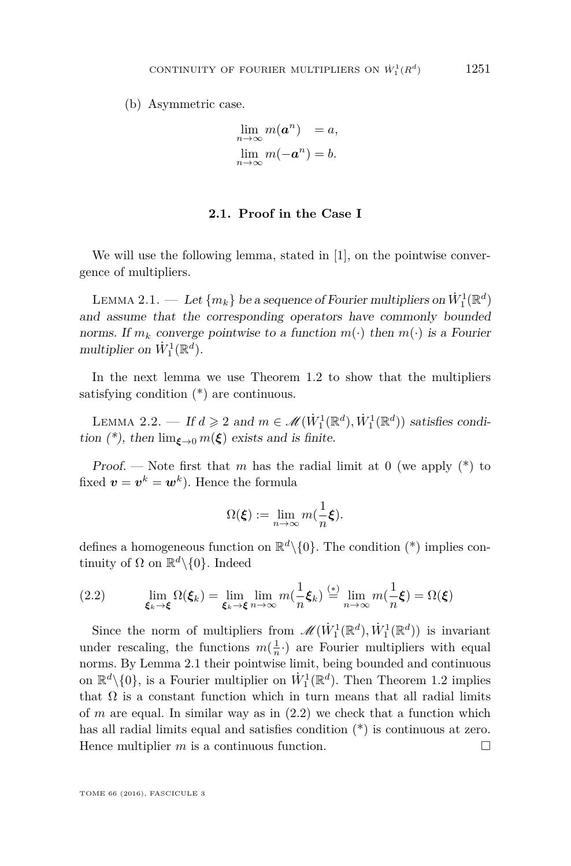(b) Asymmetric case.

$$
\lim_{n \to \infty} m(a^n) = a,
$$
  

$$
\lim_{n \to \infty} m(-a^n) = b.
$$

#### **2.1. Proof in the Case I**

We will use the following lemma, stated in [\[1\]](#page-13-2), on the pointwise convergence of multipliers.

<span id="page-5-0"></span>LEMMA  $2.1.$  — Let  $\{m_k\}$  be a sequence of Fourier multipliers on  $\dot{W}^1_1(\mathbb{R}^d)$ and assume that the corresponding operators have commonly bounded norms. If  $m_k$  converge pointwise to a function  $m(\cdot)$  then  $m(\cdot)$  is a Fourier multiplier on  $\dot{W}_1^1(\mathbb{R}^d)$ .

In the next lemma we use Theorem [1.2](#page-4-0) to show that the multipliers satisfying condition (\*) are continuous.

LEMMA 2.2. — If  $d \ge 2$  and  $m \in \mathcal{M}(\dot{W}_1^1(\mathbb{R}^d), \dot{W}_1^1(\mathbb{R}^d))$  satisfies condition (\*), then  $\lim_{\xi \to 0} m(\xi)$  exists and is finite.

Proof. — Note first that *m* has the radial limit at 0 (we apply  $(*)$  to fixed  $\boldsymbol{v} = \boldsymbol{v}^k = \boldsymbol{w}^k$ ). Hence the formula

$$
\Omega(\boldsymbol{\xi}) := \lim_{n \to \infty} m(\frac{1}{n}\boldsymbol{\xi}).
$$

defines a homogeneous function on  $\mathbb{R}^d \setminus \{0\}$ . The condition (\*) implies continuity of  $\Omega$  on  $\mathbb{R}^d \setminus \{0\}$ . Indeed

<span id="page-5-1"></span>(2.2) 
$$
\lim_{\xi_k \to \xi} \Omega(\xi_k) = \lim_{\xi_k \to \xi} \lim_{n \to \infty} m(\frac{1}{n}\xi_k) \stackrel{(*)}{=} \lim_{n \to \infty} m(\frac{1}{n}\xi) = \Omega(\xi)
$$

Since the norm of multipliers from  $\mathscr{M}(\dot{W}_1^1(\mathbb{R}^d), \dot{W}_1^1(\mathbb{R}^d))$  is invariant under rescaling, the functions  $m(\frac{1}{n})$  are Fourier multipliers with equal norms. By Lemma [2.1](#page-5-0) their pointwise limit, being bounded and continuous on  $\mathbb{R}^d \setminus \{0\}$ , is a Fourier multiplier on  $\dot{W}^1_1(\mathbb{R}^d)$ . Then Theorem [1.2](#page-4-0) implies that  $\Omega$  is a constant function which in turn means that all radial limits of  $m$  are equal. In similar way as in  $(2.2)$  we check that a function which has all radial limits equal and satisfies condition (\*) is continuous at zero. Hence multiplier  $m$  is a continuous function.  $\Box$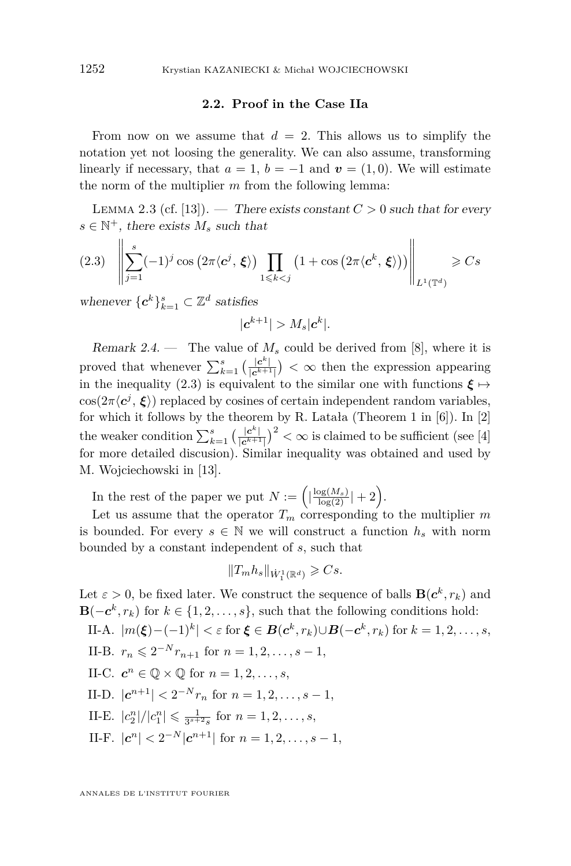#### **2.2. Proof in the Case IIa**

From now on we assume that  $d = 2$ . This allows us to simplify the notation yet not loosing the generality. We can also assume, transforming linearly if necessary, that  $a = 1$ ,  $b = -1$  and  $v = (1, 0)$ . We will estimate the norm of the multiplier *m* from the following lemma:

<span id="page-6-1"></span>LEMMA 2.3 (cf. [\[13\]](#page-14-5)). — There exists constant  $C > 0$  such that for every  $s \in \mathbb{N}^+$ , there exists  $M_s$  such that

<span id="page-6-0"></span>
$$
(2.3) \quad \left\| \sum_{j=1}^{s} (-1)^{j} \cos \left( 2\pi \langle \mathbf{c}^{j}, \xi \rangle \right) \prod_{1 \leq k < j} \left( 1 + \cos \left( 2\pi \langle \mathbf{c}^{k}, \xi \rangle \right) \right) \right\|_{L^{1}(\mathbb{T}^{d})} \geqslant Cs
$$

whenever  $\{c^k\}_{k=1}^s \subset \mathbb{Z}^d$  satisfies

$$
|\boldsymbol{c}^{k+1}| > M_s |\boldsymbol{c}^k|.
$$

<span id="page-6-2"></span>Remark 2.4. — The value of  $M_s$  could be derived from [\[8\]](#page-14-6), where it is proved that whenever  $\sum_{k=1}^{s} \left( \frac{|c^k|}{|c^{k+1}} \right)$  $\frac{|c^*|}{|c^{k+1}|}$  <  $\infty$  then the expression appearing in the inequality [\(2.3\)](#page-6-0) is equivalent to the similar one with functions  $\xi \mapsto$  $\cos(2\pi \langle c^j, \xi \rangle)$  replaced by cosines of certain independent random variables, for which it follows by the theorem by R. Latała (Theorem 1 in  $[6]$ ). In  $[2]$ the weaker condition  $\sum_{k=1}^{s} \left( \frac{|c^k|}{|c^{k+1}} \right)$  $\frac{|c^k|}{|c^{k+1}|}$ )<sup>2</sup> <  $\infty$  is claimed to be sufficient (see [\[4\]](#page-13-5) for more detailed discusion). Similar inequality was obtained and used by M. Wojciechowski in [\[13\]](#page-14-5).

In the rest of the paper we put  $N := \left( \left| \frac{\log(M_s)}{\log(2)} \right| + 2 \right)$ .

Let us assume that the operator  $T_m$  corresponding to the multiplier  $m$ is bounded. For every  $s \in \mathbb{N}$  we will construct a function  $h_s$  with norm bounded by a constant independent of *s*, such that

$$
\|T_m h_s\|_{\dot{W}^1_1(\mathbb{R}^d)}\geqslant C s.
$$

Let  $\varepsilon > 0$ , be fixed later. We construct the sequence of balls  $\mathbf{B}(\mathbf{c}^k, r_k)$  and **B**( $-c^k, r_k$ ) for  $k \in \{1, 2, \ldots, s\}$ , such that the following conditions hold:  $\text{II-A.}$   $|m(ξ) - (−1)<sup>k</sup>| < ε \text{ for } ξ ∈ B(c<sup>k</sup>, r<sub>k</sub>) ∪ B(−c<sup>k</sup>, r<sub>k</sub>) \text{ for } k = 1, 2, ..., s,$ 

- II-B.  $r_n \leqslant 2^{-N} r_{n+1}$  for  $n = 1, 2, ..., s 1$ ,
- II-C.  $c^n \in \mathbb{Q} \times \mathbb{Q}$  for  $n = 1, 2, \ldots, s$ ,
- II-D.  $|c^{n+1}| < 2^{-N}r_n$  for  $n = 1, 2, ..., s 1$ ,
- II-E.  $|c_2^n|/|c_1^n| \leq \frac{1}{3^{s+2}s}$  for  $n = 1, 2, ..., s$ ,
- II-F.  $|c^n| < 2^{-N} |c^{n+1}|$  for  $n = 1, 2, ..., s 1$ ,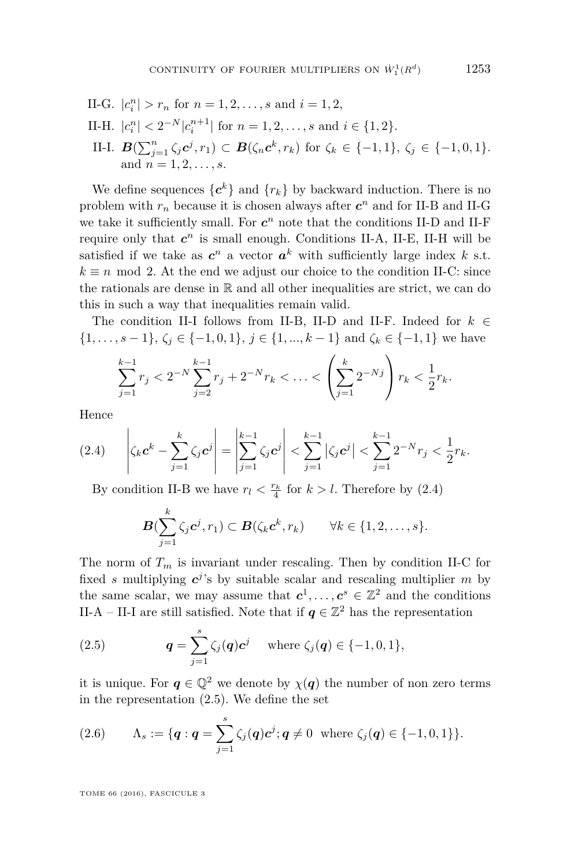II-G.  $|c_i^n| > r_n$  for  $n = 1, 2, ..., s$  and  $i = 1, 2,$ II-H.  $|c_i^n| < 2^{-N} |c_i^{n+1}|$  for  $n = 1, 2, ..., s$  and  $i \in \{1, 2\}$ . II-I.  $B(\sum_{j=1}^{n} \zeta_j c^j, r_1) \subset B(\zeta_n c^k, r_k)$  for  $\zeta_k \in \{-1, 1\}, \zeta_j \in \{-1, 0, 1\}.$ and  $n = 1, 2, \ldots, s$ .

We define sequences  $\{c^k\}$  and  $\{r_k\}$  by backward induction. There is no problem with  $r_n$  because it is chosen always after  $c^n$  and for II-B and II-G we take it sufficiently small. For  $c^n$  note that the conditions II-D and II-F require only that  $c^n$  is small enough. Conditions II-A, II-E, II-H will be satisfied if we take as  $c^n$  a vector  $a^k$  with sufficiently large index  $k$  s.t.  $k \equiv n \mod 2$ . At the end we adjust our choice to the condition II-C: since the rationals are dense in  $\mathbb R$  and all other inequalities are strict, we can do this in such a way that inequalities remain valid.

The condition II-I follows from II-B, II-D and II-F. Indeed for  $k \in$ { $1, ..., s − 1$ },  $\zeta_i \in \{-1, 0, 1\}$ ,  $j \in \{1, ..., k - 1\}$  and  $\zeta_k \in \{-1, 1\}$  we have

$$
\sum_{j=1}^{k-1} r_j < 2^{-N} \sum_{j=2}^{k-1} r_j + 2^{-N} r_k < \ldots < \left( \sum_{j=1}^k 2^{-N} \right) r_k < \frac{1}{2} r_k.
$$

Hence

<span id="page-7-0"></span>
$$
(2.4) \qquad \left|\zeta_k \mathbf{c}^k - \sum_{j=1}^k \zeta_j \mathbf{c}^j\right| = \left|\sum_{j=1}^{k-1} \zeta_j \mathbf{c}^j\right| < \sum_{j=1}^{k-1} \left|\zeta_j \mathbf{c}^j\right| < \sum_{j=1}^{k-1} 2^{-N} r_j < \frac{1}{2} r_k.
$$

By condition II-B we have  $r_l < \frac{r_k}{4}$  for  $k > l$ . Therefore by  $(2.4)$ 

$$
\boldsymbol{B}(\sum_{j=1}^k \zeta_j \boldsymbol{c}^j, r_1) \subset \boldsymbol{B}(\zeta_k \boldsymbol{c}^k, r_k) \qquad \forall k \in \{1, 2, \ldots, s\}.
$$

The norm of  $T_m$  is invariant under rescaling. Then by condition II-C for fixed *s* multiplying  $c^{j}$ 's by suitable scalar and rescaling multiplier *m* by the same scalar, we may assume that  $c^1, \ldots, c^s \in \mathbb{Z}^2$  and the conditions II-A – II-I are still satisfied. Note that if  $q \in \mathbb{Z}^2$  has the representation

<span id="page-7-1"></span>(2.5) 
$$
q = \sum_{j=1}^{s} \zeta_j(q) c^j \quad \text{where } \zeta_j(q) \in \{-1, 0, 1\},
$$

it is unique. For  $q \in \mathbb{Q}^2$  we denote by  $\chi(q)$  the number of non zero terms in the representation [\(2.5\)](#page-7-1). We define the set

(2.6) 
$$
\Lambda_s := \{ \mathbf{q} : \mathbf{q} = \sum_{j=1}^s \zeta_j(\mathbf{q}) \mathbf{c}^j; \mathbf{q} \neq 0 \text{ where } \zeta_j(\mathbf{q}) \in \{-1, 0, 1\} \}.
$$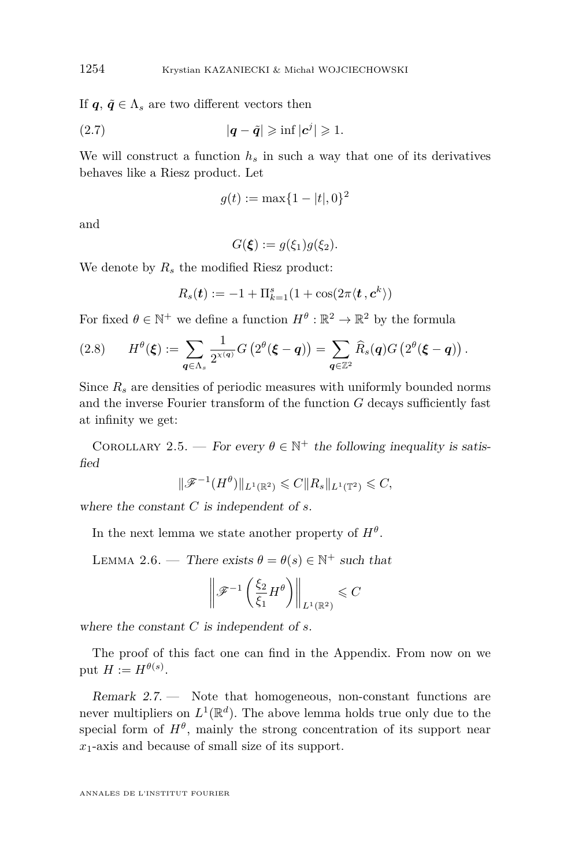If  $q, \tilde{q} \in \Lambda_s$  are two different vectors then

$$
|q - \tilde{q}| \geqslant \inf |c^j| \geqslant 1.
$$

We will construct a function  $h_s$  in such a way that one of its derivatives behaves like a Riesz product. Let

$$
g(t) := \max\{1 - |t|, 0\}^2
$$

and

 $G(\xi) := g(\xi_1)g(\xi_2).$ 

We denote by *R<sup>s</sup>* the modified Riesz product:

$$
R_s(\boldsymbol{t}) := -1 + \Pi_{k=1}^s (1 + \cos(2\pi \langle \boldsymbol{t}, \boldsymbol{c}^k \rangle))
$$

For fixed  $\theta \in \mathbb{N}^+$  we define a function  $H^{\theta} : \mathbb{R}^2 \to \mathbb{R}^2$  by the formula

$$
(2.8) \qquad H^{\theta}(\boldsymbol{\xi}) := \sum_{\boldsymbol{q} \in \Lambda_s} \frac{1}{2^{\chi(\boldsymbol{q})}} G\left(2^{\theta}(\boldsymbol{\xi} - \boldsymbol{q})\right) = \sum_{\boldsymbol{q} \in \mathbb{Z}^2} \widehat{R}_s(\boldsymbol{q}) G\left(2^{\theta}(\boldsymbol{\xi} - \boldsymbol{q})\right).
$$

Since  $R_s$  are densities of periodic measures with uniformly bounded norms and the inverse Fourier transform of the function *G* decays sufficiently fast at infinity we get:

COROLLARY 2.5. — For every  $\theta \in \mathbb{N}^+$  the following inequality is satisfied

$$
\|\mathscr{F}^{-1}(H^{\theta})\|_{L^1(\mathbb{R}^2)} \leqslant C \|R_s\|_{L^1(\mathbb{T}^2)} \leqslant C,
$$

where the constant *C* is independent of *s*.

In the next lemma we state another property of  $H^{\theta}$ .

<span id="page-8-0"></span>LEMMA 2.6. — There exists  $\theta = \theta(s) \in \mathbb{N}^+$  such that

$$
\left\|\mathscr{F}^{-1}\left(\frac{\xi_2}{\xi_1}H^{\theta}\right)\right\|_{L^1(\mathbb{R}^2)} \leqslant C
$$

where the constant *C* is independent of *s*.

The proof of this fact one can find in the Appendix. From now on we put  $H := H^{\theta(s)}$ .

Remark 2.7. — Note that homogeneous, non-constant functions are never multipliers on  $L^1(\mathbb{R}^d)$ . The above lemma holds true only due to the special form of  $H^{\theta}$ , mainly the strong concentration of its support near *x*1-axis and because of small size of its support.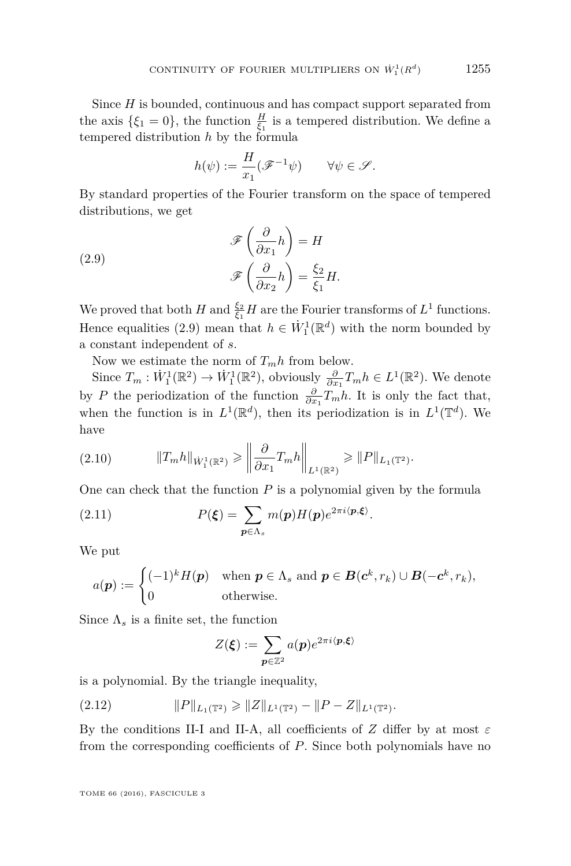Since *H* is bounded, continuous and has compact support separated from the axis  $\{\xi_1 = 0\}$ , the function  $\frac{H}{\xi_1}$  is a tempered distribution. We define a tempered distribution *h* by the formula

$$
h(\psi):=\frac{H}{x_1}(\mathscr{F}^{-1}\psi)\qquad\forall\psi\in\mathscr{S}.
$$

By standard properties of the Fourier transform on the space of tempered distributions, we get

<span id="page-9-0"></span>(2.9) 
$$
\mathscr{F}\left(\frac{\partial}{\partial x_1}h\right) = H
$$

$$
\mathscr{F}\left(\frac{\partial}{\partial x_2}h\right) = \frac{\xi_2}{\xi_1}H.
$$

We proved that both *H* and  $\frac{\xi_2}{\xi_1}$  *H* are the Fourier transforms of  $L^1$  functions. Hence equalities [\(2.9\)](#page-9-0) mean that  $h \in \dot{W}_1^1(\mathbb{R}^d)$  with the norm bounded by a constant independent of *s*.

Now we estimate the norm of  $T_m h$  from below.

Since  $T_m : \dot{W}_1^1(\mathbb{R}^2) \to \dot{W}_1^1(\mathbb{R}^2)$ , obviously  $\frac{\partial}{\partial x_1} T_m h \in L^1(\mathbb{R}^2)$ . We denote by *P* the periodization of the function  $\frac{\partial}{\partial x_1} T_m h$ . It is only the fact that, when the function is in  $L^1(\mathbb{R}^d)$ , then its periodization is in  $L^1(\mathbb{T}^d)$ . We have

<span id="page-9-1"></span>
$$
(2.10) \t\t ||T_m h||_{\dot{W}_1^1(\mathbb{R}^2)} \geq \left\| \frac{\partial}{\partial x_1} T_m h \right\|_{L^1(\mathbb{R}^2)} \geq ||P||_{L_1(\mathbb{T}^2)}.
$$

One can check that the function  $P$  is a polynomial given by the formula

<span id="page-9-3"></span>(2.11) 
$$
P(\boldsymbol{\xi}) = \sum_{\boldsymbol{p} \in \Lambda_s} m(\boldsymbol{p}) H(\boldsymbol{p}) e^{2\pi i \langle \boldsymbol{p}, \boldsymbol{\xi} \rangle}.
$$

We put

$$
a(\boldsymbol{p}) := \begin{cases} (-1)^k H(\boldsymbol{p}) & \text{when } \boldsymbol{p} \in \Lambda_s \text{ and } \boldsymbol{p} \in \boldsymbol{B}(\boldsymbol{c}^k, r_k) \cup \boldsymbol{B}(-\boldsymbol{c}^k, r_k), \\ 0 & \text{otherwise.} \end{cases}
$$

Since  $\Lambda_s$  is a finite set, the function

<span id="page-9-2"></span>
$$
Z(\boldsymbol{\xi}) := \sum_{\boldsymbol{p} \in \mathbb{Z}^2} a(\boldsymbol{p}) e^{2\pi i \langle \boldsymbol{p}, \boldsymbol{\xi} \rangle}
$$

is a polynomial. By the triangle inequality,

(2.12) 
$$
||P||_{L_1(\mathbb{T}^2)} \ge ||Z||_{L^1(\mathbb{T}^2)} - ||P - Z||_{L^1(\mathbb{T}^2)}.
$$

By the conditions II-I and II-A, all coefficients of *Z* differ by at most  $\varepsilon$ from the corresponding coefficients of *P*. Since both polynomials have no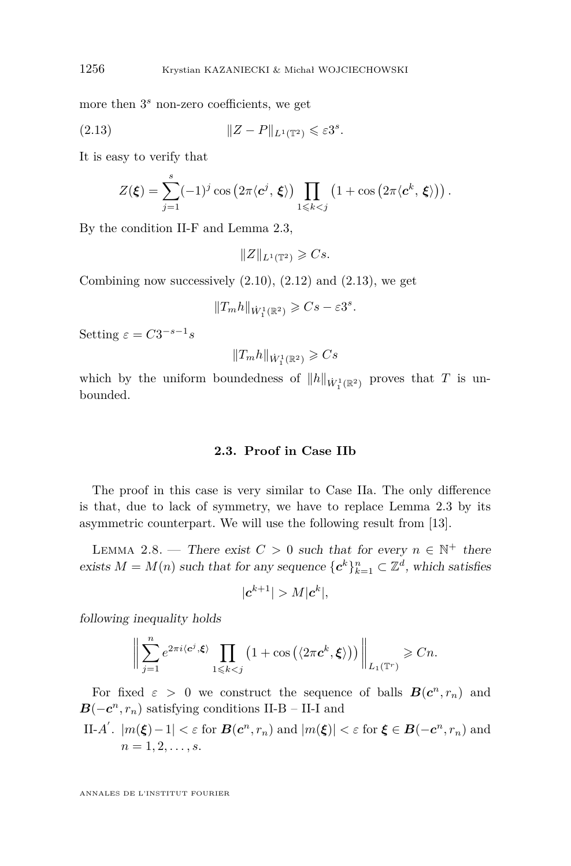more then 3 *<sup>s</sup>* non-zero coefficients, we get

$$
(2.13) \t\t\t ||Z - P||_{L^{1}(\mathbb{T}^{2})} \leqslant \varepsilon 3^{s}.
$$

It is easy to verify that

<span id="page-10-0"></span>
$$
Z(\boldsymbol{\xi}) = \sum_{j=1}^s (-1)^j \cos(2\pi \langle \mathbf{c}^j, \boldsymbol{\xi} \rangle) \prod_{1 \leq k < j} \left(1 + \cos(2\pi \langle \mathbf{c}^k, \boldsymbol{\xi} \rangle)\right).
$$

By the condition II-F and Lemma [2.3,](#page-6-1)

$$
||Z||_{L^1(\mathbb{T}^2)} \geqslant Cs.
$$

Combining now successively  $(2.10)$ ,  $(2.12)$  and  $(2.13)$ , we get

$$
||T_m h||_{\dot{W}_1^1(\mathbb{R}^2)} \geqslant Cs - \varepsilon 3^s.
$$

Setting  $\varepsilon = C3^{-s-1}s$ 

$$
\|T_m h\|_{\dot{W}^1_1(\mathbb{R}^2)}\geqslant Cs
$$

which by the uniform boundedness of  $||h||_{\dot{W}_1^1(\mathbb{R}^2)}$  proves that *T* is unbounded.

#### **2.3. Proof in Case IIb**

The proof in this case is very similar to Case IIa. The only difference is that, due to lack of symmetry, we have to replace Lemma [2.3](#page-6-1) by its asymmetric counterpart. We will use the following result from [\[13\]](#page-14-5).

<span id="page-10-1"></span>LEMMA 2.8. — There exist  $C > 0$  such that for every  $n \in \mathbb{N}^+$  there exists  $M = M(n)$  such that for any sequence  ${c^k}_{k=1}^n \subset \mathbb{Z}^d$ , which satisfies

$$
|\boldsymbol{c}^{k+1}| > M |\boldsymbol{c}^k|,
$$

following inequality holds

$$
\bigg\|\sum_{j=1}^n e^{2\pi i \langle \mathbf{c}^j, \xi \rangle} \prod_{1 \leq k < j} \left(1 + \cos\left(\langle 2\pi \mathbf{c}^k, \xi \rangle\right)\right) \bigg\|_{L_1(\mathbb{T}^r)} \geqslant Cn.
$$

For fixed  $\varepsilon > 0$  we construct the sequence of balls  $B(c^n, r_n)$  and  $B(-c^n, r_n)$  satisfying conditions II-B – II-I and

II-A'. 
$$
|m(\xi)-1| < \varepsilon
$$
 for  $\mathcal{B}(c^n, r_n)$  and  $|m(\xi)| < \varepsilon$  for  $\xi \in \mathcal{B}(-c^n, r_n)$  and  $n = 1, 2, \ldots, s$ .

ANNALES DE L'INSTITUT FOURIER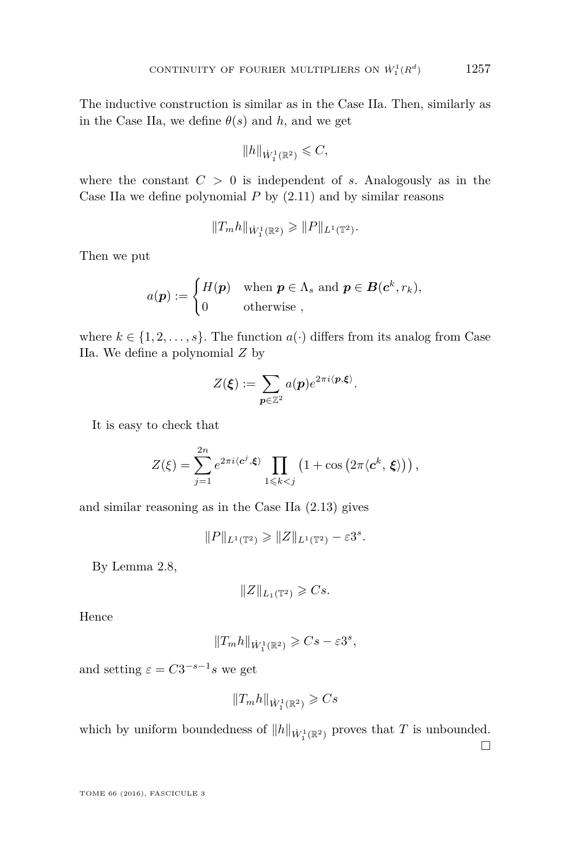The inductive construction is similar as in the Case IIa. Then, similarly as in the Case IIa, we define  $\theta(s)$  and *h*, and we get

$$
\|h\|_{\dot{W}_1^1(\mathbb{R}^2)}\leqslant C,
$$

where the constant  $C > 0$  is independent of *s*. Analogously as in the Case IIa we define polynomial *P* by [\(2.11\)](#page-9-3) and by similar reasons

$$
||T_m h||_{\dot{W}_1^1(\mathbb{R}^2)} \geq ||P||_{L^1(\mathbb{T}^2)}.
$$

Then we put

$$
a(\boldsymbol{p}) := \begin{cases} H(\boldsymbol{p}) & \text{when } \boldsymbol{p} \in \Lambda_s \text{ and } \boldsymbol{p} \in \boldsymbol{B}(\boldsymbol{c}^k, r_k), \\ 0 & \text{otherwise} \end{cases}
$$

where  $k \in \{1, 2, \ldots, s\}$ . The function  $a(\cdot)$  differs from its analog from Case IIa. We define a polynomial *Z* by

$$
Z(\boldsymbol{\xi}) := \sum_{\boldsymbol{p} \in \mathbb{Z}^2} a(\boldsymbol{p}) e^{2\pi i \langle \boldsymbol{p}, \boldsymbol{\xi} \rangle}.
$$

It is easy to check that

$$
Z(\xi) = \sum_{j=1}^{2n} e^{2\pi i \langle \mathbf{c}^j, \xi \rangle} \prod_{1 \leq k < j} \left( 1 + \cos \left( 2\pi \langle \mathbf{c}^k, \xi \rangle \right) \right),
$$

and similar reasoning as in the Case IIa [\(2.13\)](#page-10-0) gives

 $||P||_{L^1(\mathbb{T}^2)} \geq ||Z||_{L^1(\mathbb{T}^2)} - \varepsilon 3^s.$ 

By Lemma [2.8,](#page-10-1)

$$
||Z||_{L_1(\mathbb{T}^2)} \geqslant Cs.
$$

Hence

$$
||T_m h||_{\dot{W}_1^1(\mathbb{R}^2)} \geqslant Cs - \varepsilon 3^s,
$$

and setting  $\varepsilon = C3^{-s-1}s$  we get

$$
||T_m h||_{\dot{W}_1^1(\mathbb{R}^2)} \geqslant Cs
$$

which by uniform boundedness of  $||h||_{\dot{W}_1^1(\mathbb{R}^2)}$  proves that *T* is unbounded.

 $\Box$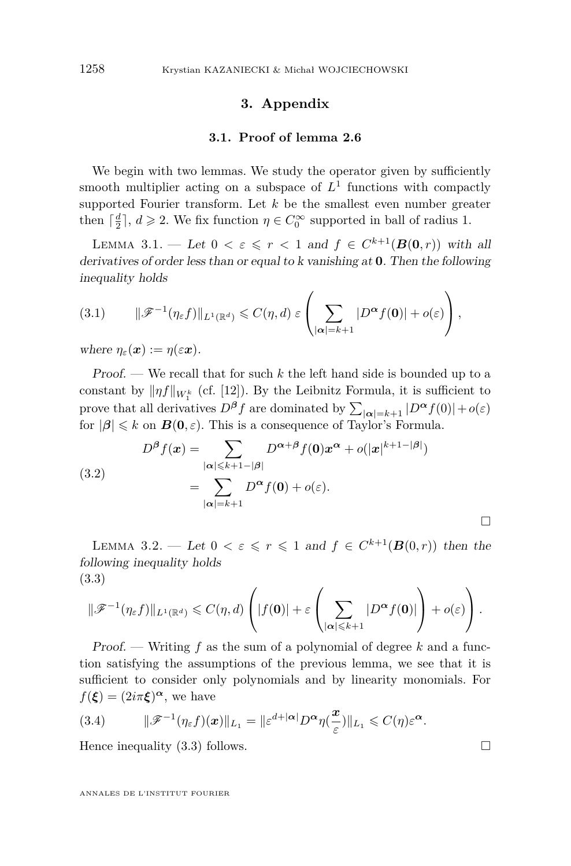#### **3. Appendix**

#### **3.1. Proof of lemma [2.6](#page-8-0)**

We begin with two lemmas. We study the operator given by sufficiently smooth multiplier acting on a subspace of *L* 1 functions with compactly supported Fourier transform. Let *k* be the smallest even number greater then  $\lceil \frac{d}{2} \rceil$ ,  $d \ge 2$ . We fix function  $\eta \in C_0^{\infty}$  supported in ball of radius 1.

LEMMA 3.1. — Let  $0 < \varepsilon \leq r < 1$  and  $f \in C^{k+1}(B(0,r))$  with all derivatives of order less than or equal to k vanishing at **0**. Then the following inequality holds

$$
(3.1) \qquad \|\mathscr{F}^{-1}(\eta_{\varepsilon}f)\|_{L^{1}(\mathbb{R}^{d})} \leqslant C(\eta,d) \,\varepsilon \left(\sum_{|\alpha|=k+1} |D^{\alpha}f(\mathbf{0})| + o(\varepsilon)\right),
$$

where  $\eta_{\varepsilon}(\boldsymbol{x}) := \eta(\varepsilon \boldsymbol{x})$ .

Proof. — We recall that for such *k* the left hand side is bounded up to a constant by  $\|\eta f\|_{W_1^k}$  (cf. [\[12\]](#page-14-4)). By the Leibnitz Formula, it is sufficient to prove that all derivatives  $D^{\beta} f$  are dominated by  $\sum_{|\alpha|=k+1} |D^{\alpha} f(0)| + o(\varepsilon)$ for  $|\beta| \le k$  on  $B(0, \varepsilon)$ . This is a consequence of Taylor's Formula.

(3.2)  

$$
D^{\beta} f(\mathbf{x}) = \sum_{|\alpha| \leq k+1-|\beta|} D^{\alpha+\beta} f(\mathbf{0}) \mathbf{x}^{\alpha} + o(|\mathbf{x}|^{k+1-|\beta|})
$$

$$
= \sum_{|\alpha|=k+1} D^{\alpha} f(\mathbf{0}) + o(\varepsilon).
$$

<span id="page-12-1"></span>LEMMA 3.2. — Let  $0 < \varepsilon \leq r \leq 1$  and  $f \in C^{k+1}(\mathbf{B}(0,r))$  then the following inequality holds (3.3)

<span id="page-12-0"></span>
$$
\|\mathscr{F}^{-1}(\eta_{\varepsilon}f)\|_{L^{1}(\mathbb{R}^{d})}\leqslant C(\eta,d)\left(|f(\mathbf{0})|+\varepsilon\left(\sum_{|\alpha|\leqslant k+1}|D^{\alpha}f(\mathbf{0})|\right)+o(\varepsilon)\right).
$$

Proof. — Writing *f* as the sum of a polynomial of degree *k* and a function satisfying the assumptions of the previous lemma, we see that it is sufficient to consider only polynomials and by linearity monomials. For  $f(\boldsymbol{\xi}) = (2i\pi \boldsymbol{\xi})^{\boldsymbol{\alpha}},$  we have

(3.4) 
$$
\|\mathscr{F}^{-1}(\eta_{\varepsilon} f)(\boldsymbol{x})\|_{L_1} = \|\varepsilon^{d+|\boldsymbol{\alpha}|}D^{\boldsymbol{\alpha}}\eta(\frac{\boldsymbol{x}}{\varepsilon})\|_{L_1} \leqslant C(\eta)\varepsilon^{\boldsymbol{\alpha}}.
$$

Hence inequality  $(3.3)$  follows.

ANNALES DE L'INSTITUT FOURIER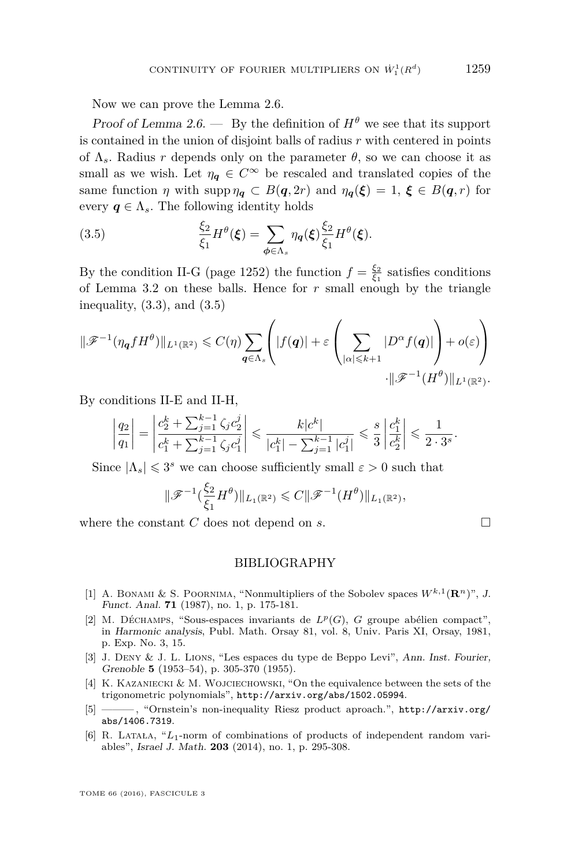Now we can prove the Lemma [2.6.](#page-8-0)

Proof of Lemma [2.6.](#page-8-0) — By the definition of  $H^{\theta}$  we see that its support is contained in the union of disjoint balls of radius *r* with centered in points of  $\Lambda_s$ . Radius *r* depends only on the parameter  $\theta$ , so we can choose it as small as we wish. Let  $\eta_q \in C^\infty$  be rescaled and translated copies of the same function *η* with supp  $\eta_q \subset B(q, 2r)$  and  $\eta_q(\xi) = 1, \xi \in B(q, r)$  for every  $q \in \Lambda_s$ . The following identity holds

<span id="page-13-6"></span>(3.5) 
$$
\frac{\xi_2}{\xi_1} H^{\theta}(\boldsymbol{\xi}) = \sum_{\boldsymbol{\phi} \in \Lambda_s} \eta_{\boldsymbol{q}}(\boldsymbol{\xi}) \frac{\xi_2}{\xi_1} H^{\theta}(\boldsymbol{\xi}).
$$

By the condition II-G (page [1252\)](#page-6-2) the function  $f = \frac{\xi_2}{\xi_1}$  satisfies conditions of Lemma [3.2](#page-12-1) on these balls. Hence for *r* small enough by the triangle inequality, [\(3.3\)](#page-12-0), and [\(3.5\)](#page-13-6)

$$
\|\mathscr{F}^{-1}(\eta_{\mathbf{q}} f H^{\theta})\|_{L^{1}(\mathbb{R}^{2})} \leq C(\eta) \sum_{\mathbf{q} \in \Lambda_{s}} \left( |f(\mathbf{q})| + \varepsilon \left( \sum_{|\alpha| \leq k+1} |D^{\alpha} f(\mathbf{q})| \right) + o(\varepsilon) \right) \cdot \|\mathscr{F}^{-1}(H^{\theta})\|_{L^{1}(\mathbb{R}^{2})}.
$$

By conditions II-E and II-H,

$$
\left|\frac{q_2}{q_1}\right| = \left|\frac{c_2^k + \sum_{j=1}^{k-1} \zeta_j c_2^j}{c_1^k + \sum_{j=1}^{k-1} \zeta_j c_1^j}\right| \leqslant \frac{k|c^k|}{|c_1^k| - \sum_{j=1}^{k-1} |c_1^j|} \leqslant \frac{s}{3} \left|\frac{c_1^k}{c_2^k}\right| \leqslant \frac{1}{2\cdot 3^s}.
$$

Since  $|\Lambda_s| \leq 3^s$  we can choose sufficiently small  $\varepsilon > 0$  such that

$$
\|\mathscr{F}^{-1}(\frac{\xi_2}{\xi_1}H^{\theta})\|_{L_1(\mathbb{R}^2)} \leqslant C\|\mathscr{F}^{-1}(H^{\theta})\|_{L_1(\mathbb{R}^2)},
$$

where the constant  $C$  does not depend on  $s$ .

#### BIBLIOGRAPHY

- <span id="page-13-2"></span>[1] A. BONAMI & S. POORNIMA, "Nonmultipliers of the Sobolev spaces  $W^{k,1}(\mathbf{R}^n)$ ", J. Funct. Anal. **71** (1987), no. 1, p. 175-181.
- <span id="page-13-4"></span>[2] M. DÉCHAMPS, "Sous-espaces invariants de  $L^p(G)$ , *G* groupe abélien compact", in Harmonic analysis, Publ. Math. Orsay 81, vol. 8, Univ. Paris XI, Orsay, 1981, p. Exp. No. 3, 15.
- <span id="page-13-1"></span>[3] J. Deny & J. L. Lions, "Les espaces du type de Beppo Levi", Ann. Inst. Fourier, Grenoble **5** (1953–54), p. 305-370 (1955).
- <span id="page-13-5"></span>[4] K. Kazaniecki & M. Wojciechowski, "On the equivalence between the sets of the trigonometric polynomials", <http://arxiv.org/abs/1502.05994>.
- <span id="page-13-0"></span>[5] ——— , "Ornstein's non-inequality Riesz product aproach.", [http://arxiv.org/](http://arxiv.org/abs/1406.7319) [abs/1406.7319](http://arxiv.org/abs/1406.7319).
- <span id="page-13-3"></span>[6] R. Latała, "*L*1-norm of combinations of products of independent random variables", Israel J. Math. **203** (2014), no. 1, p. 295-308.